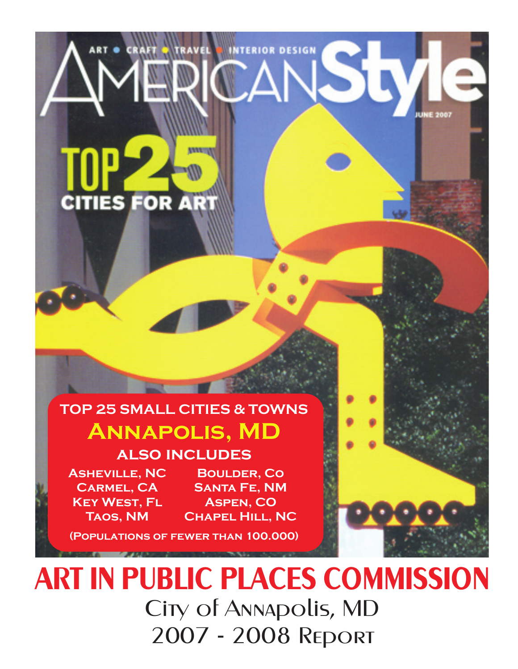# **TOP 25 SMALL CITIES & TOWNS Annapolis, MD also includes**

**MANITA** 

**CITIES FOR ART** 

**Asheville, NC Boulder, Co**

**Carmel, CA Santa Fe, NM Key West, Fl Aspen, CO Taos, NM Chapel Hill, NC**

**(Populations of fewer than 100.000)**

# **ART IN PUBLIC PLACES COMMISSION** City of Annapolis, MD 2007 - 2008 Report

**INTERIOR DESIGN** 

**UNE 2007**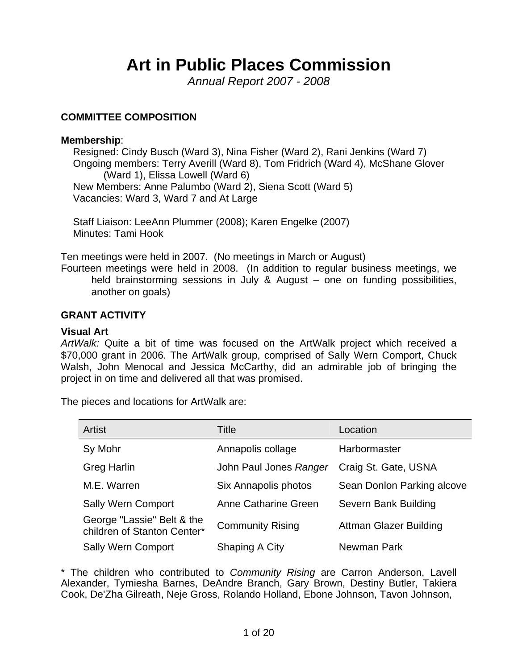## **Art in Public Places Commission**

*Annual Report 2007 - 2008* 

## **COMMITTEE COMPOSITION**

## **Membership**:

Resigned: Cindy Busch (Ward 3), Nina Fisher (Ward 2), Rani Jenkins (Ward 7) Ongoing members: Terry Averill (Ward 8), Tom Fridrich (Ward 4), McShane Glover (Ward 1), Elissa Lowell (Ward 6) New Members: Anne Palumbo (Ward 2), Siena Scott (Ward 5) Vacancies: Ward 3, Ward 7 and At Large

Staff Liaison: LeeAnn Plummer (2008); Karen Engelke (2007) Minutes: Tami Hook

Ten meetings were held in 2007. (No meetings in March or August)

Fourteen meetings were held in 2008. (In addition to regular business meetings, we held brainstorming sessions in July & August – one on funding possibilities, another on goals)

## **GRANT ACTIVITY**

## **Visual Art**

*ArtWalk:* Quite a bit of time was focused on the ArtWalk project which received a \$70,000 grant in 2006. The ArtWalk group, comprised of Sally Wern Comport, Chuck Walsh, John Menocal and Jessica McCarthy, did an admirable job of bringing the project in on time and delivered all that was promised.

The pieces and locations for ArtWalk are:

| Artist                                                    | Title                   | Location                      |
|-----------------------------------------------------------|-------------------------|-------------------------------|
| Sy Mohr                                                   | Annapolis collage       | Harbormaster                  |
| <b>Greg Harlin</b>                                        | John Paul Jones Ranger  | Craig St. Gate, USNA          |
| M.E. Warren                                               | Six Annapolis photos    | Sean Donlon Parking alcove    |
| <b>Sally Wern Comport</b>                                 | Anne Catharine Green    | Severn Bank Building          |
| George "Lassie" Belt & the<br>children of Stanton Center* | <b>Community Rising</b> | <b>Attman Glazer Building</b> |
| <b>Sally Wern Comport</b>                                 | Shaping A City          | Newman Park                   |

\* The children who contributed to *Community Rising* are Carron Anderson, Lavell Alexander, Tymiesha Barnes, DeAndre Branch, Gary Brown, Destiny Butler, Takiera Cook, De'Zha Gilreath, Neje Gross, Rolando Holland, Ebone Johnson, Tavon Johnson,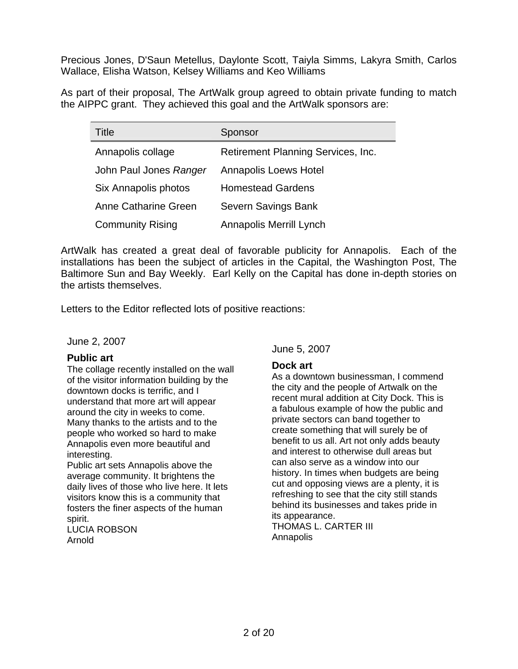Precious Jones, D'Saun Metellus, Daylonte Scott, Taiyla Simms, Lakyra Smith, Carlos Wallace, Elisha Watson, Kelsey Williams and Keo Williams

As part of their proposal, The ArtWalk group agreed to obtain private funding to match the AIPPC grant. They achieved this goal and the ArtWalk sponsors are:

| <b>Title</b>                | Sponsor                            |
|-----------------------------|------------------------------------|
| Annapolis collage           | Retirement Planning Services, Inc. |
| John Paul Jones Ranger      | Annapolis Loews Hotel              |
| Six Annapolis photos        | <b>Homestead Gardens</b>           |
| <b>Anne Catharine Green</b> | <b>Severn Savings Bank</b>         |
| <b>Community Rising</b>     | Annapolis Merrill Lynch            |

ArtWalk has created a great deal of favorable publicity for Annapolis. Each of the installations has been the subject of articles in the Capital, the Washington Post, The Baltimore Sun and Bay Weekly. Earl Kelly on the Capital has done in-depth stories on the artists themselves.

Letters to the Editor reflected lots of positive reactions:

June 2, 2007

#### **Public art**

The collage recently installed on the wall of the visitor information building by the downtown docks is terrific, and I understand that more art will appear around the city in weeks to come. Many thanks to the artists and to the people who worked so hard to make Annapolis even more beautiful and interesting.

Public art sets Annapolis above the average community. It brightens the daily lives of those who live here. It lets visitors know this is a community that fosters the finer aspects of the human spirit.

LUCIA ROBSON Arnold

June 5, 2007

## **Dock art**

As a downtown businessman, I commend the city and the people of Artwalk on the recent mural addition at City Dock. This is a fabulous example of how the public and private sectors can band together to create something that will surely be of benefit to us all. Art not only adds beauty and interest to otherwise dull areas but can also serve as a window into our history. In times when budgets are being cut and opposing views are a plenty, it is refreshing to see that the city still stands behind its businesses and takes pride in its appearance. THOMAS L. CARTER III

Annapolis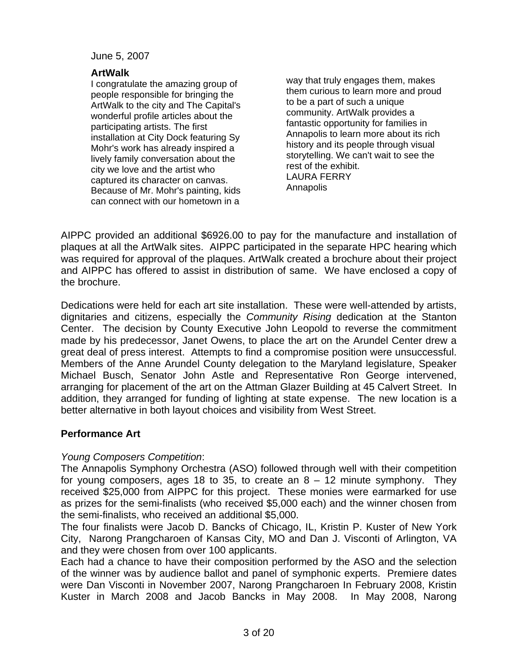June 5, 2007

## **ArtWalk**

I congratulate the amazing group of people responsible for bringing the ArtWalk to the city and The Capital's wonderful profile articles about the participating artists. The first installation at City Dock featuring Sy Mohr's work has already inspired a lively family conversation about the city we love and the artist who captured its character on canvas. Because of Mr. Mohr's painting, kids can connect with our hometown in a

way that truly engages them, makes them curious to learn more and proud to be a part of such a unique community. ArtWalk provides a fantastic opportunity for families in Annapolis to learn more about its rich history and its people through visual storytelling. We can't wait to see the rest of the exhibit. LAURA FERRY Annapolis

AIPPC provided an additional \$6926.00 to pay for the manufacture and installation of plaques at all the ArtWalk sites. AIPPC participated in the separate HPC hearing which was required for approval of the plaques. ArtWalk created a brochure about their project and AIPPC has offered to assist in distribution of same. We have enclosed a copy of the brochure.

Dedications were held for each art site installation. These were well-attended by artists, dignitaries and citizens, especially the *Community Rising* dedication at the Stanton Center. The decision by County Executive John Leopold to reverse the commitment made by his predecessor, Janet Owens, to place the art on the Arundel Center drew a great deal of press interest. Attempts to find a compromise position were unsuccessful. Members of the Anne Arundel County delegation to the Maryland legislature, Speaker Michael Busch, Senator John Astle and Representative Ron George intervened, arranging for placement of the art on the Attman Glazer Building at 45 Calvert Street. In addition, they arranged for funding of lighting at state expense. The new location is a better alternative in both layout choices and visibility from West Street.

## **Performance Art**

## *Young Composers Competition*:

The Annapolis Symphony Orchestra (ASO) followed through well with their competition for young composers, ages 18 to 35, to create an  $8 - 12$  minute symphony. They received \$25,000 from AIPPC for this project. These monies were earmarked for use as prizes for the semi-finalists (who received \$5,000 each) and the winner chosen from the semi-finalists, who received an additional \$5,000.

The four finalists were Jacob D. Bancks of Chicago, IL, Kristin P. Kuster of New York City, Narong Prangcharoen of Kansas City, MO and Dan J. Visconti of Arlington, VA and they were chosen from over 100 applicants.

Each had a chance to have their composition performed by the ASO and the selection of the winner was by audience ballot and panel of symphonic experts. Premiere dates were Dan Visconti in November 2007, Narong Prangcharoen In February 2008, Kristin Kuster in March 2008 and Jacob Bancks in May 2008. In May 2008, Narong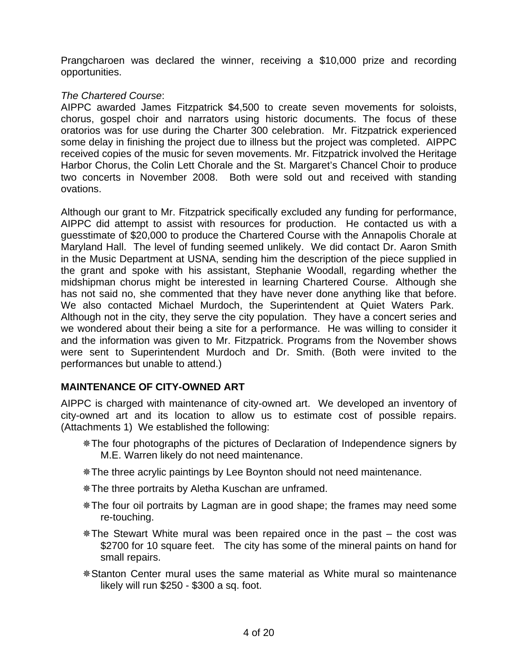Prangcharoen was declared the winner, receiving a \$10,000 prize and recording opportunities.

## *The Chartered Course*:

AIPPC awarded James Fitzpatrick \$4,500 to create seven movements for soloists, chorus, gospel choir and narrators using historic documents. The focus of these oratorios was for use during the Charter 300 celebration. Mr. Fitzpatrick experienced some delay in finishing the project due to illness but the project was completed. AIPPC received copies of the music for seven movements. Mr. Fitzpatrick involved the Heritage Harbor Chorus, the Colin Lett Chorale and the St. Margaret's Chancel Choir to produce two concerts in November 2008. Both were sold out and received with standing ovations.

Although our grant to Mr. Fitzpatrick specifically excluded any funding for performance, AIPPC did attempt to assist with resources for production. He contacted us with a guesstimate of \$20,000 to produce the Chartered Course with the Annapolis Chorale at Maryland Hall. The level of funding seemed unlikely. We did contact Dr. Aaron Smith in the Music Department at USNA, sending him the description of the piece supplied in the grant and spoke with his assistant, Stephanie Woodall, regarding whether the midshipman chorus might be interested in learning Chartered Course. Although she has not said no, she commented that they have never done anything like that before. We also contacted Michael Murdoch, the Superintendent at Quiet Waters Park. Although not in the city, they serve the city population. They have a concert series and we wondered about their being a site for a performance. He was willing to consider it and the information was given to Mr. Fitzpatrick. Programs from the November shows were sent to Superintendent Murdoch and Dr. Smith. (Both were invited to the performances but unable to attend.)

## **MAINTENANCE OF CITY-OWNED ART**

AIPPC is charged with maintenance of city-owned art. We developed an inventory of city-owned art and its location to allow us to estimate cost of possible repairs. (Attachments 1) We established the following:

- The four photographs of the pictures of Declaration of Independence signers by M.E. Warren likely do not need maintenance.
- The three acrylic paintings by Lee Boynton should not need maintenance.
- The three portraits by Aletha Kuschan are unframed.
- The four oil portraits by Lagman are in good shape; the frames may need some re-touching.
- The Stewart White mural was been repaired once in the past the cost was \$2700 for 10 square feet. The city has some of the mineral paints on hand for small repairs.
- Stanton Center mural uses the same material as White mural so maintenance likely will run \$250 - \$300 a sq. foot.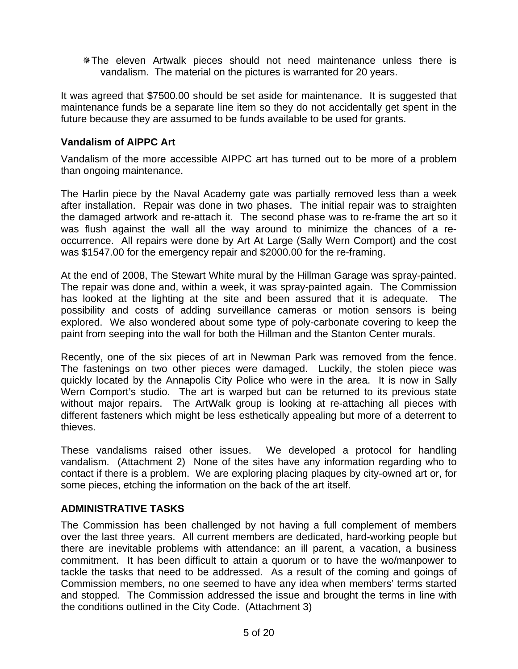The eleven Artwalk pieces should not need maintenance unless there is vandalism. The material on the pictures is warranted for 20 years.

It was agreed that \$7500.00 should be set aside for maintenance. It is suggested that maintenance funds be a separate line item so they do not accidentally get spent in the future because they are assumed to be funds available to be used for grants.

## **Vandalism of AIPPC Art**

Vandalism of the more accessible AIPPC art has turned out to be more of a problem than ongoing maintenance.

The Harlin piece by the Naval Academy gate was partially removed less than a week after installation. Repair was done in two phases. The initial repair was to straighten the damaged artwork and re-attach it. The second phase was to re-frame the art so it was flush against the wall all the way around to minimize the chances of a reoccurrence. All repairs were done by Art At Large (Sally Wern Comport) and the cost was \$1547.00 for the emergency repair and \$2000.00 for the re-framing.

At the end of 2008, The Stewart White mural by the Hillman Garage was spray-painted. The repair was done and, within a week, it was spray-painted again. The Commission has looked at the lighting at the site and been assured that it is adequate. The possibility and costs of adding surveillance cameras or motion sensors is being explored. We also wondered about some type of poly-carbonate covering to keep the paint from seeping into the wall for both the Hillman and the Stanton Center murals.

Recently, one of the six pieces of art in Newman Park was removed from the fence. The fastenings on two other pieces were damaged. Luckily, the stolen piece was quickly located by the Annapolis City Police who were in the area. It is now in Sally Wern Comport's studio. The art is warped but can be returned to its previous state without major repairs. The ArtWalk group is looking at re-attaching all pieces with different fasteners which might be less esthetically appealing but more of a deterrent to thieves.

These vandalisms raised other issues. We developed a protocol for handling vandalism. (Attachment 2) None of the sites have any information regarding who to contact if there is a problem. We are exploring placing plaques by city-owned art or, for some pieces, etching the information on the back of the art itself.

## **ADMINISTRATIVE TASKS**

The Commission has been challenged by not having a full complement of members over the last three years. All current members are dedicated, hard-working people but there are inevitable problems with attendance: an ill parent, a vacation, a business commitment. It has been difficult to attain a quorum or to have the wo/manpower to tackle the tasks that need to be addressed. As a result of the coming and goings of Commission members, no one seemed to have any idea when members' terms started and stopped. The Commission addressed the issue and brought the terms in line with the conditions outlined in the City Code. (Attachment 3)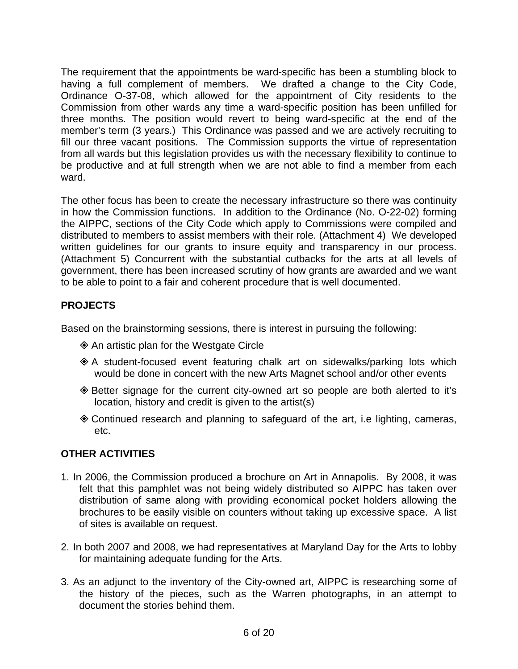The requirement that the appointments be ward-specific has been a stumbling block to having a full complement of members. We drafted a change to the City Code, Ordinance O-37-08, which allowed for the appointment of City residents to the Commission from other wards any time a ward-specific position has been unfilled for three months. The position would revert to being ward-specific at the end of the member's term (3 years.) This Ordinance was passed and we are actively recruiting to fill our three vacant positions. The Commission supports the virtue of representation from all wards but this legislation provides us with the necessary flexibility to continue to be productive and at full strength when we are not able to find a member from each ward.

The other focus has been to create the necessary infrastructure so there was continuity in how the Commission functions. In addition to the Ordinance (No. O-22-02) forming the AIPPC, sections of the City Code which apply to Commissions were compiled and distributed to members to assist members with their role. (Attachment 4) We developed written guidelines for our grants to insure equity and transparency in our process. (Attachment 5) Concurrent with the substantial cutbacks for the arts at all levels of government, there has been increased scrutiny of how grants are awarded and we want to be able to point to a fair and coherent procedure that is well documented.

## **PROJECTS**

Based on the brainstorming sessions, there is interest in pursuing the following:

- An artistic plan for the Westgate Circle
- A student-focused event featuring chalk art on sidewalks/parking lots which would be done in concert with the new Arts Magnet school and/or other events
- Better signage for the current city-owned art so people are both alerted to it's location, history and credit is given to the artist(s)
- Continued research and planning to safeguard of the art, i.e lighting, cameras, etc.

## **OTHER ACTIVITIES**

- 1. In 2006, the Commission produced a brochure on Art in Annapolis. By 2008, it was felt that this pamphlet was not being widely distributed so AIPPC has taken over distribution of same along with providing economical pocket holders allowing the brochures to be easily visible on counters without taking up excessive space. A list of sites is available on request.
- 2. In both 2007 and 2008, we had representatives at Maryland Day for the Arts to lobby for maintaining adequate funding for the Arts.
- 3. As an adjunct to the inventory of the City-owned art, AIPPC is researching some of the history of the pieces, such as the Warren photographs, in an attempt to document the stories behind them.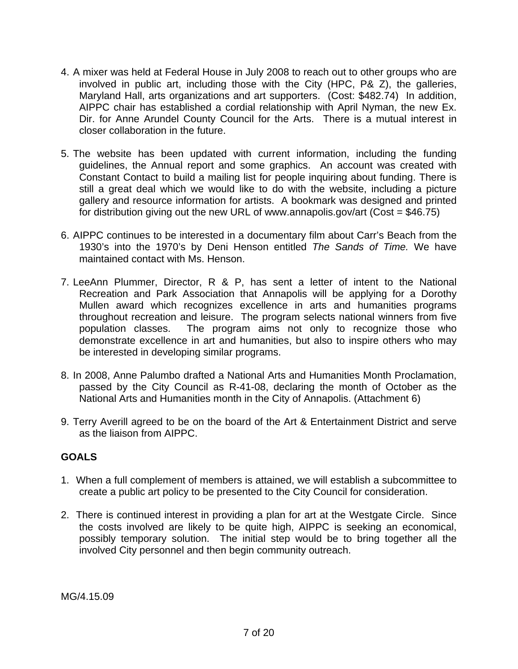- 4. A mixer was held at Federal House in July 2008 to reach out to other groups who are involved in public art, including those with the City (HPC, P& Z), the galleries, Maryland Hall, arts organizations and art supporters. (Cost: \$482.74) In addition, AIPPC chair has established a cordial relationship with April Nyman, the new Ex. Dir. for Anne Arundel County Council for the Arts. There is a mutual interest in closer collaboration in the future.
- 5. The website has been updated with current information, including the funding guidelines, the Annual report and some graphics. An account was created with Constant Contact to build a mailing list for people inquiring about funding. There is still a great deal which we would like to do with the website, including a picture gallery and resource information for artists. A bookmark was designed and printed for distribution giving out the new URL of www.annapolis.gov/art (Cost =  $$46.75$ )
- 6. AIPPC continues to be interested in a documentary film about Carr's Beach from the 1930's into the 1970's by Deni Henson entitled *The Sands of Time.* We have maintained contact with Ms. Henson.
- 7. LeeAnn Plummer, Director, R & P, has sent a letter of intent to the National Recreation and Park Association that Annapolis will be applying for a Dorothy Mullen award which recognizes excellence in arts and humanities programs throughout recreation and leisure. The program selects national winners from five population classes. The program aims not only to recognize those who demonstrate excellence in art and humanities, but also to inspire others who may be interested in developing similar programs.
- 8. In 2008, Anne Palumbo drafted a National Arts and Humanities Month Proclamation, passed by the City Council as R-41-08, declaring the month of October as the National Arts and Humanities month in the City of Annapolis. (Attachment 6)
- 9. Terry Averill agreed to be on the board of the Art & Entertainment District and serve as the liaison from AIPPC.

## **GOALS**

- 1. When a full complement of members is attained, we will establish a subcommittee to create a public art policy to be presented to the City Council for consideration.
- 2. There is continued interest in providing a plan for art at the Westgate Circle. Since the costs involved are likely to be quite high, AIPPC is seeking an economical, possibly temporary solution. The initial step would be to bring together all the involved City personnel and then begin community outreach.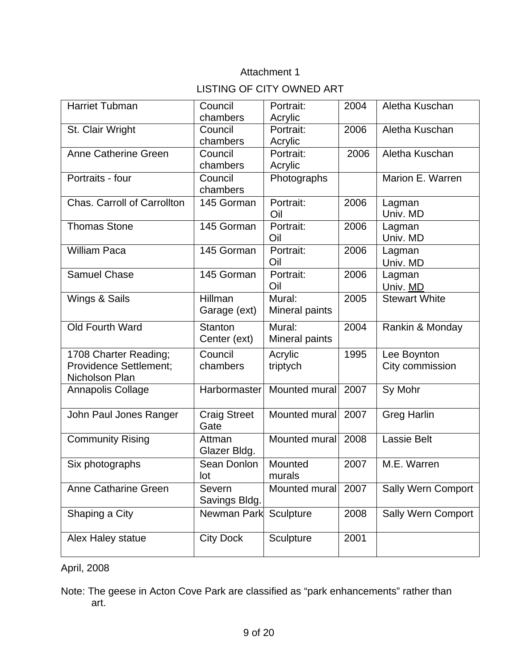## LISTING OF CITY OWNED ART

| <b>Harriet Tubman</b>                                                    | Council                        | Portrait:                | 2004 | Aletha Kuschan                 |
|--------------------------------------------------------------------------|--------------------------------|--------------------------|------|--------------------------------|
|                                                                          | chambers                       | Acrylic                  |      |                                |
| St. Clair Wright                                                         | Council                        | Portrait:                | 2006 | Aletha Kuschan                 |
|                                                                          | chambers                       | Acrylic                  |      |                                |
| <b>Anne Catherine Green</b>                                              | Council                        | Portrait:                | 2006 | Aletha Kuschan                 |
|                                                                          | chambers                       | Acrylic                  |      |                                |
| Portraits - four                                                         | Council<br>chambers            | Photographs              |      | Marion E. Warren               |
| Chas. Carroll of Carrollton                                              | 145 Gorman                     | Portrait:<br>Oil         | 2006 | Lagman<br>Univ. MD             |
| <b>Thomas Stone</b>                                                      | 145 Gorman                     | Portrait:<br>Oil         | 2006 | Lagman<br>Univ. MD             |
| <b>William Paca</b>                                                      | 145 Gorman                     | Portrait:<br>Oil         | 2006 | Lagman<br>Univ. MD             |
| <b>Samuel Chase</b>                                                      | 145 Gorman                     | Portrait:<br>Oil         | 2006 | Lagman<br>Univ. MD             |
| Wings & Sails                                                            | Hillman<br>Garage (ext)        | Mural:<br>Mineral paints | 2005 | <b>Stewart White</b>           |
| Old Fourth Ward                                                          | <b>Stanton</b><br>Center (ext) | Mural:<br>Mineral paints | 2004 | Rankin & Monday                |
| 1708 Charter Reading;<br><b>Providence Settlement;</b><br>Nicholson Plan | Council<br>chambers            | Acrylic<br>triptych      | 1995 | Lee Boynton<br>City commission |
| Annapolis Collage                                                        | Harbormaster                   | Mounted mural            | 2007 | Sy Mohr                        |
| John Paul Jones Ranger                                                   | <b>Craig Street</b><br>Gate    | Mounted mural            | 2007 | <b>Greg Harlin</b>             |
| <b>Community Rising</b>                                                  | Attman<br>Glazer Bldg.         | Mounted mural            | 2008 | <b>Lassie Belt</b>             |
| Six photographs                                                          | Sean Donlon<br>lot             | Mounted<br>murals        | 2007 | M.E. Warren                    |
| <b>Anne Catharine Green</b>                                              | Severn<br>Savings Bldg.        | Mounted mural            | 2007 | <b>Sally Wern Comport</b>      |
| Shaping a City                                                           | Newman Park                    | Sculpture                | 2008 | <b>Sally Wern Comport</b>      |
| Alex Haley statue                                                        | <b>City Dock</b>               | Sculpture                | 2001 |                                |

## April, 2008

Note: The geese in Acton Cove Park are classified as "park enhancements" rather than art.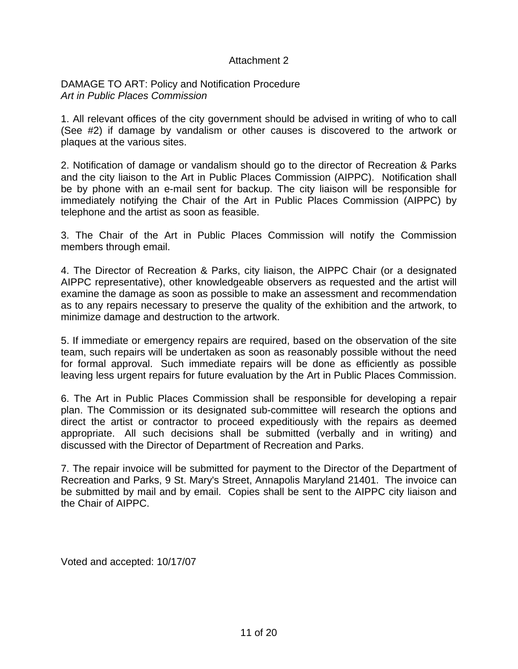DAMAGE TO ART: Policy and Notification Procedure *Art in Public Places Commission* 

1. All relevant offices of the city government should be advised in writing of who to call (See #2) if damage by vandalism or other causes is discovered to the artwork or plaques at the various sites.

2. Notification of damage or vandalism should go to the director of Recreation & Parks and the city liaison to the Art in Public Places Commission (AIPPC). Notification shall be by phone with an e-mail sent for backup. The city liaison will be responsible for immediately notifying the Chair of the Art in Public Places Commission (AIPPC) by telephone and the artist as soon as feasible.

3. The Chair of the Art in Public Places Commission will notify the Commission members through email.

4. The Director of Recreation & Parks, city liaison, the AIPPC Chair (or a designated AIPPC representative), other knowledgeable observers as requested and the artist will examine the damage as soon as possible to make an assessment and recommendation as to any repairs necessary to preserve the quality of the exhibition and the artwork, to minimize damage and destruction to the artwork.

5. If immediate or emergency repairs are required, based on the observation of the site team, such repairs will be undertaken as soon as reasonably possible without the need for formal approval. Such immediate repairs will be done as efficiently as possible leaving less urgent repairs for future evaluation by the Art in Public Places Commission.

6. The Art in Public Places Commission shall be responsible for developing a repair plan. The Commission or its designated sub-committee will research the options and direct the artist or contractor to proceed expeditiously with the repairs as deemed appropriate. All such decisions shall be submitted (verbally and in writing) and discussed with the Director of Department of Recreation and Parks.

7. The repair invoice will be submitted for payment to the Director of the Department of Recreation and Parks, 9 St. Mary's Street, Annapolis Maryland 21401. The invoice can be submitted by mail and by email. Copies shall be sent to the AIPPC city liaison and the Chair of AIPPC.

Voted and accepted: 10/17/07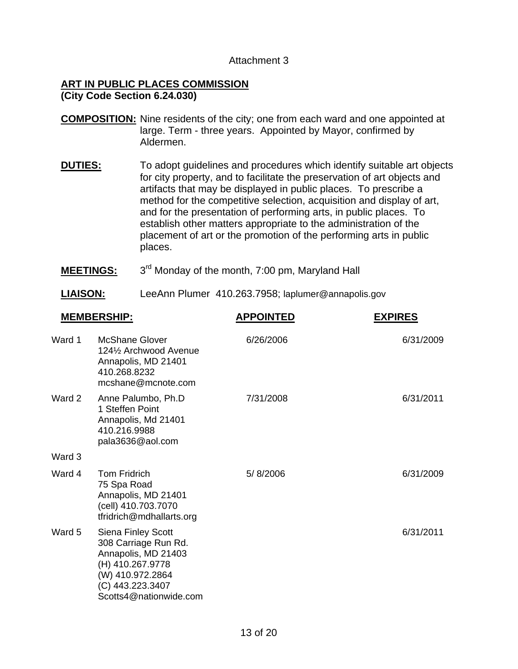## **ART IN PUBLIC PLACES COMMISSION (City Code Section 6.24.030)**

- **COMPOSITION:** Nine residents of the city; one from each ward and one appointed at large. Term - three years. Appointed by Mayor, confirmed by Aldermen.
- **DUTIES:** To adopt guidelines and procedures which identify suitable art objects for city property, and to facilitate the preservation of art objects and artifacts that may be displayed in public places. To prescribe a method for the competitive selection, acquisition and display of art, and for the presentation of performing arts, in public places. To establish other matters appropriate to the administration of the placement of art or the promotion of the performing arts in public places.
- **MEETINGS:** 3rd Monday of the month, 7:00 pm, Maryland Hall
- LIAISON: LeeAnn Plumer 410.263.7958; laplumer@annapolis.gov

|        | <b>MEMBERSHIP:</b>                                                                                                                                      | <b>APPOINTED</b> | <b>EXPIRES</b> |
|--------|---------------------------------------------------------------------------------------------------------------------------------------------------------|------------------|----------------|
| Ward 1 | <b>McShane Glover</b><br>124½ Archwood Avenue<br>Annapolis, MD 21401<br>410.268.8232<br>mcshane@mcnote.com                                              | 6/26/2006        | 6/31/2009      |
| Ward 2 | Anne Palumbo, Ph.D<br>1 Steffen Point<br>Annapolis, Md 21401<br>410.216.9988<br>pala3636@aol.com                                                        | 7/31/2008        | 6/31/2011      |
| Ward 3 |                                                                                                                                                         |                  |                |
| Ward 4 | <b>Tom Fridrich</b><br>75 Spa Road<br>Annapolis, MD 21401<br>(cell) 410.703.7070<br>tfridrich@mdhallarts.org                                            | 5/8/2006         | 6/31/2009      |
| Ward 5 | Siena Finley Scott<br>308 Carriage Run Rd.<br>Annapolis, MD 21403<br>(H) 410.267.9778<br>(W) 410.972.2864<br>(C) 443.223.3407<br>Scotts4@nationwide.com |                  | 6/31/2011      |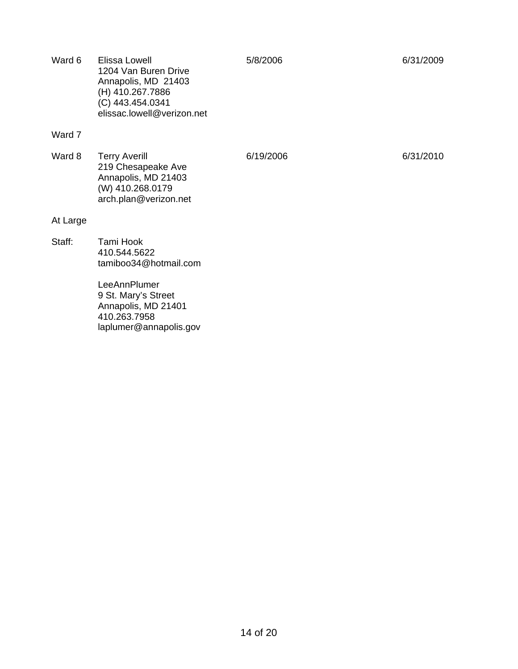- Ward 6 Elissa Lowell 1204 Van Buren Drive Annapolis, MD 21403 (H) 410.267.7886 (C) 443.454.0341 elissac.lowell@verizon.net 5/8/2006 6/31/2009 Ward 7 6/19/2006 6/31/2010
- Ward 8 Terry Averill 219 Chesapeake Ave Annapolis, MD 21403 (W) 410.268.0179 arch.plan@verizon.net

At Large

Staff: Tami Hook 410.544.5622 tamiboo34@hotmail.com

> LeeAnnPlumer 9 St. Mary's Street Annapolis, MD 21401 410.263.7958 laplumer@annapolis.gov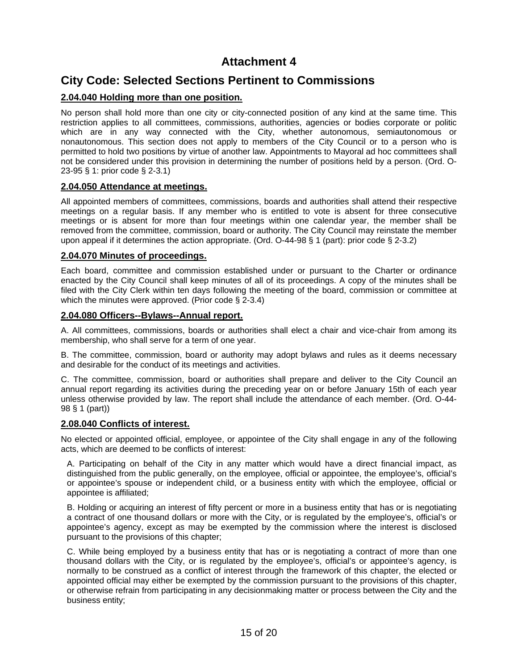## **City Code: Selected Sections Pertinent to Commissions**

#### **2.04.040 Holding more than one position.**

No person shall hold more than one city or city-connected position of any kind at the same time. This restriction applies to all committees, commissions, authorities, agencies or bodies corporate or politic which are in any way connected with the City, whether autonomous, semiautonomous or nonautonomous. This section does not apply to members of the City Council or to a person who is permitted to hold two positions by virtue of another law. Appointments to Mayoral ad hoc committees shall not be considered under this provision in determining the number of positions held by a person. (Ord. O-23-95 § 1: prior code § 2-3.1)

#### **2.04.050 Attendance at meetings.**

All appointed members of committees, commissions, boards and authorities shall attend their respective meetings on a regular basis. If any member who is entitled to vote is absent for three consecutive meetings or is absent for more than four meetings within one calendar year, the member shall be removed from the committee, commission, board or authority. The City Council may reinstate the member upon appeal if it determines the action appropriate. (Ord. O-44-98 § 1 (part): prior code § 2-3.2)

#### **2.04.070 Minutes of proceedings.**

Each board, committee and commission established under or pursuant to the Charter or ordinance enacted by the City Council shall keep minutes of all of its proceedings. A copy of the minutes shall be filed with the City Clerk within ten days following the meeting of the board, commission or committee at which the minutes were approved. (Prior code § 2-3.4)

#### **2.04.080 Officers--Bylaws--Annual report.**

A. All committees, commissions, boards or authorities shall elect a chair and vice-chair from among its membership, who shall serve for a term of one year.

B. The committee, commission, board or authority may adopt bylaws and rules as it deems necessary and desirable for the conduct of its meetings and activities.

C. The committee, commission, board or authorities shall prepare and deliver to the City Council an annual report regarding its activities during the preceding year on or before January 15th of each year unless otherwise provided by law. The report shall include the attendance of each member. (Ord. O-44- 98 § 1 (part))

#### **2.08.040 Conflicts of interest.**

No elected or appointed official, employee, or appointee of the City shall engage in any of the following acts, which are deemed to be conflicts of interest:

A. Participating on behalf of the City in any matter which would have a direct financial impact, as distinguished from the public generally, on the employee, official or appointee, the employee's, official's or appointee's spouse or independent child, or a business entity with which the employee, official or appointee is affiliated;

B. Holding or acquiring an interest of fifty percent or more in a business entity that has or is negotiating a contract of one thousand dollars or more with the City, or is regulated by the employee's, official's or appointee's agency, except as may be exempted by the commission where the interest is disclosed pursuant to the provisions of this chapter;

C. While being employed by a business entity that has or is negotiating a contract of more than one thousand dollars with the City, or is regulated by the employee's, official's or appointee's agency, is normally to be construed as a conflict of interest through the framework of this chapter, the elected or appointed official may either be exempted by the commission pursuant to the provisions of this chapter, or otherwise refrain from participating in any decisionmaking matter or process between the City and the business entity;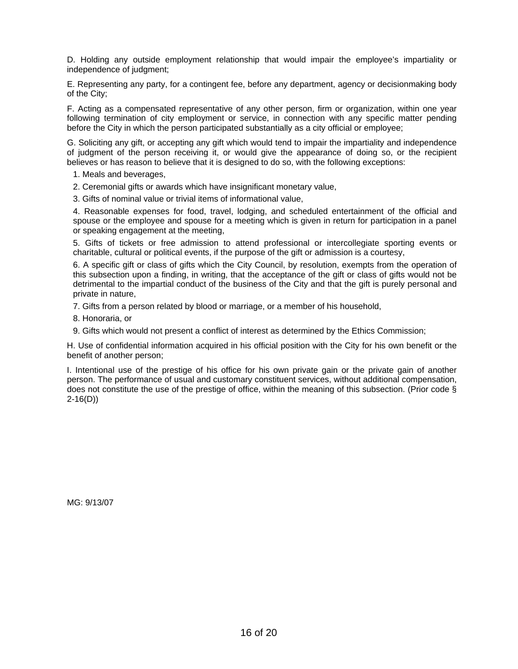D. Holding any outside employment relationship that would impair the employee's impartiality or independence of judgment;

E. Representing any party, for a contingent fee, before any department, agency or decisionmaking body of the City;

F. Acting as a compensated representative of any other person, firm or organization, within one year following termination of city employment or service, in connection with any specific matter pending before the City in which the person participated substantially as a city official or employee;

G. Soliciting any gift, or accepting any gift which would tend to impair the impartiality and independence of judgment of the person receiving it, or would give the appearance of doing so, or the recipient believes or has reason to believe that it is designed to do so, with the following exceptions:

1. Meals and beverages,

2. Ceremonial gifts or awards which have insignificant monetary value,

3. Gifts of nominal value or trivial items of informational value,

4. Reasonable expenses for food, travel, lodging, and scheduled entertainment of the official and spouse or the employee and spouse for a meeting which is given in return for participation in a panel or speaking engagement at the meeting,

5. Gifts of tickets or free admission to attend professional or intercollegiate sporting events or charitable, cultural or political events, if the purpose of the gift or admission is a courtesy,

6. A specific gift or class of gifts which the City Council, by resolution, exempts from the operation of this subsection upon a finding, in writing, that the acceptance of the gift or class of gifts would not be detrimental to the impartial conduct of the business of the City and that the gift is purely personal and private in nature,

7. Gifts from a person related by blood or marriage, or a member of his household,

8. Honoraria, or

9. Gifts which would not present a conflict of interest as determined by the Ethics Commission;

H. Use of confidential information acquired in his official position with the City for his own benefit or the benefit of another person;

I. Intentional use of the prestige of his office for his own private gain or the private gain of another person. The performance of usual and customary constituent services, without additional compensation, does not constitute the use of the prestige of office, within the meaning of this subsection. (Prior code § 2-16(D))

MG: 9/13/07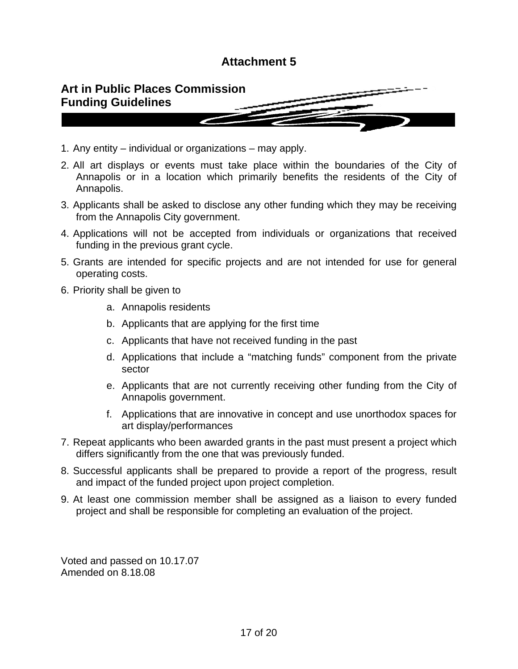

- 1. Any entity individual or organizations may apply.
- 2. All art displays or events must take place within the boundaries of the City of Annapolis or in a location which primarily benefits the residents of the City of Annapolis.
- 3. Applicants shall be asked to disclose any other funding which they may be receiving from the Annapolis City government.
- 4. Applications will not be accepted from individuals or organizations that received funding in the previous grant cycle.
- 5. Grants are intended for specific projects and are not intended for use for general operating costs.
- 6. Priority shall be given to
	- a. Annapolis residents
	- b. Applicants that are applying for the first time
	- c. Applicants that have not received funding in the past
	- d. Applications that include a "matching funds" component from the private sector
	- e. Applicants that are not currently receiving other funding from the City of Annapolis government.
	- f. Applications that are innovative in concept and use unorthodox spaces for art display/performances
- 7. Repeat applicants who been awarded grants in the past must present a project which differs significantly from the one that was previously funded.
- 8. Successful applicants shall be prepared to provide a report of the progress, result and impact of the funded project upon project completion.
- 9. At least one commission member shall be assigned as a liaison to every funded project and shall be responsible for completing an evaluation of the project.

Voted and passed on 10.17.07 Amended on 8.18.08